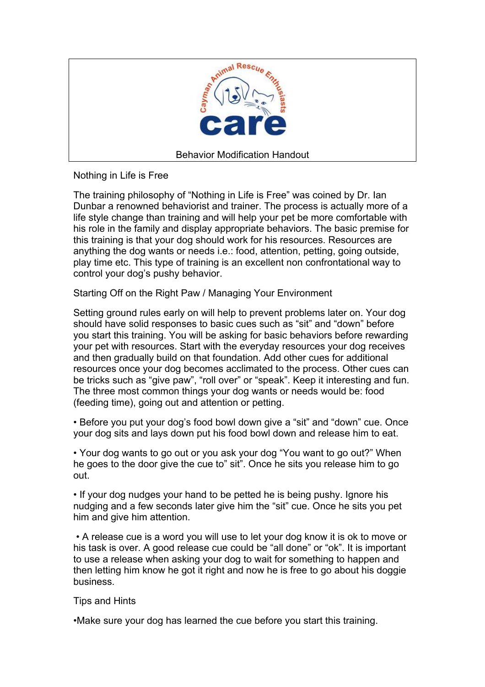

Nothing in Life is Free

The training philosophy of "Nothing in Life is Free" was coined by Dr. Ian Dunbar a renowned behaviorist and trainer. The process is actually more of a life style change than training and will help your pet be more comfortable with his role in the family and display appropriate behaviors. The basic premise for this training is that your dog should work for his resources. Resources are anything the dog wants or needs i.e.: food, attention, petting, going outside, play time etc. This type of training is an excellent non confrontational way to control your dog's pushy behavior.

Starting Off on the Right Paw / Managing Your Environment

Setting ground rules early on will help to prevent problems later on. Your dog should have solid responses to basic cues such as "sit" and "down" before you start this training. You will be asking for basic behaviors before rewarding your pet with resources. Start with the everyday resources your dog receives and then gradually build on that foundation. Add other cues for additional resources once your dog becomes acclimated to the process. Other cues can be tricks such as "give paw", "roll over" or "speak". Keep it interesting and fun. The three most common things your dog wants or needs would be: food (feeding time), going out and attention or petting.

• Before you put your dog's food bowl down give a "sit" and "down" cue. Once your dog sits and lays down put his food bowl down and release him to eat.

• Your dog wants to go out or you ask your dog "You want to go out?" When he goes to the door give the cue to" sit". Once he sits you release him to go out.

• If your dog nudges your hand to be petted he is being pushy. Ignore his nudging and a few seconds later give him the "sit" cue. Once he sits you pet him and give him attention.

 • A release cue is a word you will use to let your dog know it is ok to move or his task is over. A good release cue could be "all done" or "ok". It is important to use a release when asking your dog to wait for something to happen and then letting him know he got it right and now he is free to go about his doggie business.

## Tips and Hints

•Make sure your dog has learned the cue before you start this training.